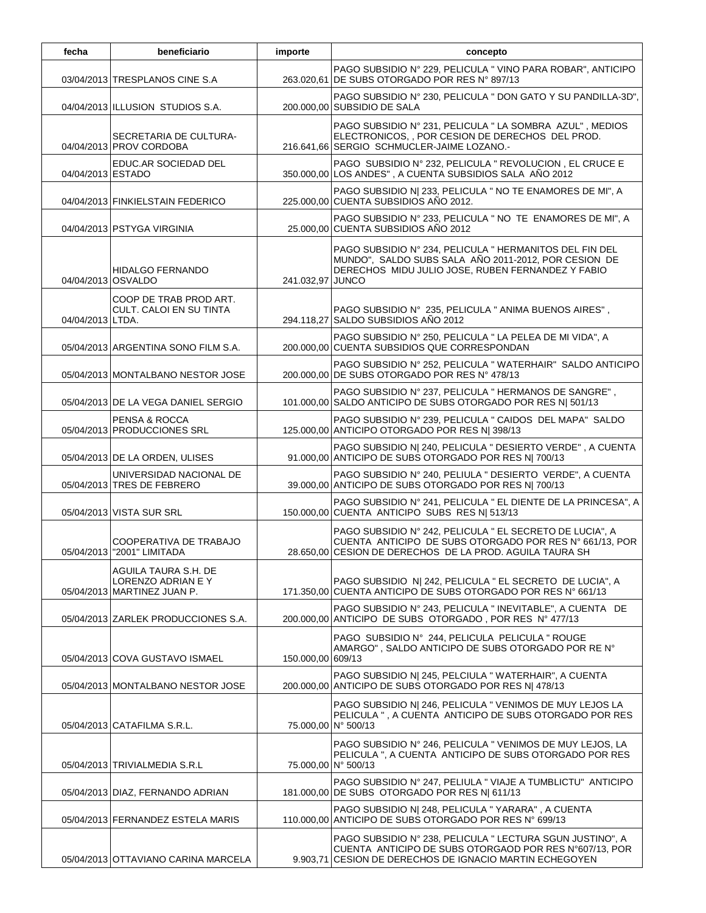| fecha             | beneficiario                                                              | importe           | concepto                                                                                                                                                                        |
|-------------------|---------------------------------------------------------------------------|-------------------|---------------------------------------------------------------------------------------------------------------------------------------------------------------------------------|
|                   | 03/04/2013 TRESPLANOS CINE S.A                                            |                   | PAGO SUBSIDIO Nº 229, PELICULA "VINO PARA ROBAR", ANTICIPO<br>263.020,61 DE SUBS OTORGADO POR RES Nº 897/13                                                                     |
|                   | 04/04/2013 ILLUSION STUDIOS S.A.                                          |                   | PAGO SUBSIDIO Nº 230, PELICULA " DON GATO Y SU PANDILLA-3D",<br>200.000,00 SUBSIDIO DE SALA                                                                                     |
|                   | SECRETARIA DE CULTURA-<br>04/04/2013 PROV CORDOBA                         |                   | PAGO SUBSIDIO Nº 231, PELICULA " LA SOMBRA AZUL", MEDIOS<br>ELECTRONICOS, , POR CESION DE DERECHOS DEL PROD.<br>216.641,66 SERGIO SCHMUCLER-JAIME LOZANO.-                      |
| 04/04/2013 ESTADO | EDUC.AR SOCIEDAD DEL                                                      |                   | PAGO SUBSIDIO Nº 232, PELICULA " REVOLUCION, EL CRUCE E<br>350.000,00 LOS ANDES", A CUENTA SUBSIDIOS SALA AÑO 2012                                                              |
|                   | 04/04/2013 FINKIELSTAIN FEDERICO                                          |                   | PAGO SUBSIDIO N  233, PELICULA " NO TE ENAMORES DE MI", A<br>225.000,00 CUENTA SUBSIDIOS AÑO 2012.                                                                              |
|                   | 04/04/2013 PSTYGA VIRGINIA                                                |                   | PAGO SUBSIDIO Nº 233, PELICULA " NO TE ENAMORES DE MI", A<br>25.000,00 CUENTA SUBSIDIOS AÑO 2012                                                                                |
|                   | <b>HIDALGO FERNANDO</b><br>04/04/2013 OSVALDO                             | 241.032,97 JUNCO  | PAGO SUBSIDIO Nº 234, PELICULA " HERMANITOS DEL FIN DEL<br>MUNDO", SALDO SUBS SALA AÑO 2011-2012, POR CESION DE<br>DERECHOS MIDU JULIO JOSE, RUBEN FERNANDEZ Y FABIO            |
| 04/04/2013 LTDA.  | COOP DE TRAB PROD ART.<br>CULT. CALOI EN SU TINTA                         |                   | PAGO SUBSIDIO Nº 235, PELICULA " ANIMA BUENOS AIRES",<br>294.118,27 SALDO SUBSIDIOS AÑO 2012                                                                                    |
|                   | 05/04/2013 ARGENTINA SONO FILM S.A.                                       |                   | PAGO SUBSIDIO Nº 250, PELICULA " LA PELEA DE MI VIDA", A<br>200.000,00 CUENTA SUBSIDIOS QUE CORRESPONDAN                                                                        |
|                   | 05/04/2013 MONTALBANO NESTOR JOSE                                         |                   | PAGO SUBSIDIO Nº 252, PELICULA "WATERHAIR" SALDO ANTICIPO<br>200.000,00 DE SUBS OTORGADO POR RES Nº 478/13                                                                      |
|                   | 05/04/2013 DE LA VEGA DANIEL SERGIO                                       |                   | PAGO SUBSIDIO Nº 237, PELICULA " HERMANOS DE SANGRE",<br>101.000,00 SALDO ANTICIPO DE SUBS OTORGADO POR RES N  501/13                                                           |
|                   | PENSA & ROCCA<br>05/04/2013 PRODUCCIONES SRL                              |                   | PAGO SUBSIDIO Nº 239, PELICULA " CAIDOS DEL MAPA" SALDO<br>125.000,00 ANTICIPO OTORGADO POR RES N  398/13                                                                       |
|                   | 05/04/2013 DE LA ORDEN, ULISES                                            |                   | PAGO SUBSIDIO N  240, PELICULA " DESIERTO VERDE", A CUENTA<br>91.000,00 ANTICIPO DE SUBS OTORGADO POR RES N  700/13                                                             |
|                   | UNIVERSIDAD NACIONAL DE<br>05/04/2013 TRES DE FEBRERO                     |                   | PAGO SUBSIDIO Nº 240, PELIULA " DESIERTO VERDE", A CUENTA<br>39.000,00 ANTICIPO DE SUBS OTORGADO POR RES N  700/13                                                              |
|                   | 05/04/2013 VISTA SUR SRL                                                  |                   | PAGO SUBSIDIO Nº 241, PELICULA " EL DIENTE DE LA PRINCESA", A<br>150.000,00 CUENTA ANTICIPO SUBS RES N  513/13                                                                  |
|                   | COOPERATIVA DE TRABAJO<br>05/04/2013 "2001" LIMITADA                      |                   | PAGO SUBSIDIO Nº 242, PELICULA " EL SECRETO DE LUCIA", A<br>CUENTA ANTICIPO DE SUBS OTORGADO POR RES Nº 661/13, POR<br>28.650,00 CESION DE DERECHOS DE LA PROD. AGUILA TAURA SH |
|                   | AGUILA TAURA S.H. DE<br>LORENZO ADRIAN E Y<br>05/04/2013 MARTINEZ JUAN P. |                   | PAGO SUBSIDIO N  242, PELICULA " EL SECRETO DE LUCIA", A<br>171.350.00 CUENTA ANTICIPO DE SUBS OTORGADO POR RES Nº 661/13                                                       |
|                   | 05/04/2013 ZARLEK PRODUCCIONES S.A.                                       |                   | PAGO SUBSIDIO Nº 243, PELICULA " INEVITABLE", A CUENTA DE<br>200.000,00 ANTICIPO DE SUBS OTORGADO, POR RES Nº 477/13                                                            |
|                   | 05/04/2013 COVA GUSTAVO ISMAEL                                            | 150.000,00 609/13 | PAGO SUBSIDIO Nº 244, PELICULA PELICULA " ROUGE<br>AMARGO", SALDO ANTICIPO DE SUBS OTORGADO POR RE Nº                                                                           |
|                   | 05/04/2013 MONTALBANO NESTOR JOSE                                         |                   | PAGO SUBSIDIO N  245, PELCIULA " WATERHAIR", A CUENTA<br>200.000,00 ANTICIPO DE SUBS OTORGADO POR RES N  478/13                                                                 |
|                   | 05/04/2013 CATAFILMA S.R.L.                                               |                   | PAGO SUBSIDIO N  246, PELICULA " VENIMOS DE MUY LEJOS LA<br>PELICULA ", A CUENTA ANTICIPO DE SUBS OTORGADO POR RES<br>75.000,00 N° 500/13                                       |
|                   | 05/04/2013 TRIVIALMEDIA S.R.L                                             |                   | PAGO SUBSIDIO Nº 246, PELICULA " VENIMOS DE MUY LEJOS, LA<br>PELICULA ", A CUENTA ANTICIPO DE SUBS OTORGADO POR RES<br>75.000,00 N° 500/13                                      |
|                   | 05/04/2013 DIAZ, FERNANDO ADRIAN                                          |                   | PAGO SUBSIDIO Nº 247, PELIULA "VIAJE A TUMBLICTU" ANTICIPO<br>181.000,00 DE SUBS OTORGADO POR RES N 611/13                                                                      |
|                   | 05/04/2013 FERNANDEZ ESTELA MARIS                                         |                   | PAGO SUBSIDIO N  248, PELICULA " YARARA", A CUENTA<br>110.000,00 ANTICIPO DE SUBS OTORGADO POR RES N° 699/13                                                                    |
|                   | 05/04/2013 OTTAVIANO CARINA MARCELA                                       |                   | PAGO SUBSIDIO Nº 238, PELICULA " LECTURA SGUN JUSTINO", A<br>CUENTA ANTICIPO DE SUBS OTORGAOD POR RES N°607/13, POR<br>9.903,71 CESION DE DERECHOS DE IGNACIO MARTIN ECHEGOYEN  |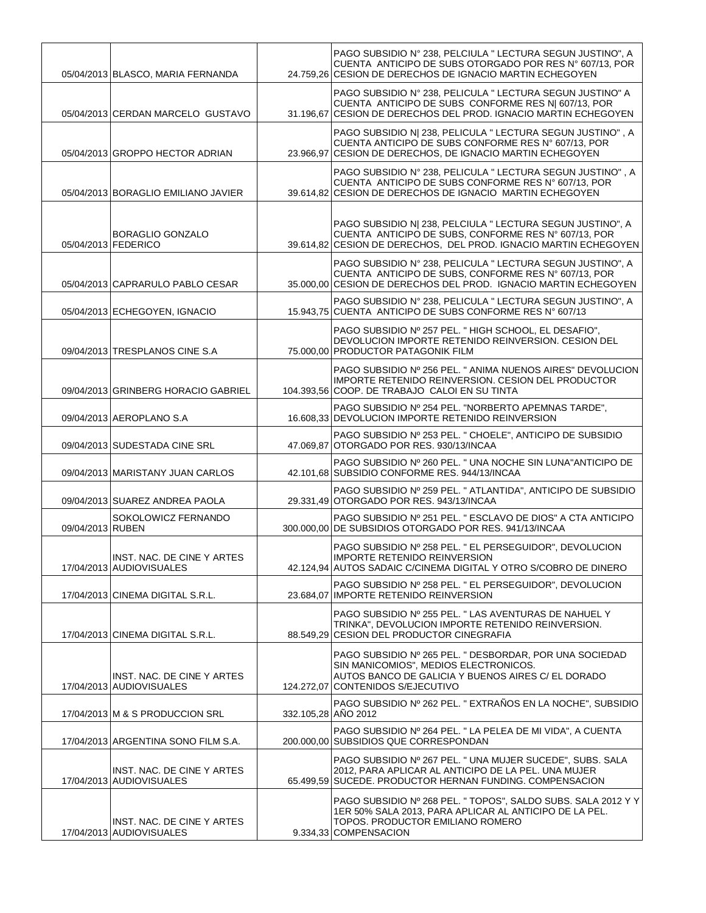|                  | 05/04/2013 BLASCO, MARIA FERNANDA                      |                     | PAGO SUBSIDIO Nº 238, PELCIULA " LECTURA SEGUN JUSTINO", A<br>CUENTA ANTICIPO DE SUBS OTORGADO POR RES Nº 607/13, POR<br>24.759.26 CESION DE DERECHOS DE IGNACIO MARTIN ECHEGOYEN           |
|------------------|--------------------------------------------------------|---------------------|---------------------------------------------------------------------------------------------------------------------------------------------------------------------------------------------|
|                  | 05/04/2013 CERDAN MARCELO GUSTAVO                      |                     | PAGO SUBSIDIO Nº 238, PELICULA " LECTURA SEGUN JUSTINO" A<br>CUENTA ANTICIPO DE SUBS CONFORME RES N  607/13, POR<br>31.196,67 CESION DE DERECHOS DEL PROD. IGNACIO MARTIN ECHEGOYEN         |
|                  | 05/04/2013 GROPPO HECTOR ADRIAN                        |                     | PAGO SUBSIDIO N  238, PELICULA " LECTURA SEGUN JUSTINO", A<br>CUENTA ANTICIPO DE SUBS CONFORME RES Nº 607/13, POR<br>23.966,97 CESION DE DERECHOS, DE IGNACIO MARTIN ECHEGOYEN              |
|                  | 05/04/2013 BORAGLIO EMILIANO JAVIER                    |                     | PAGO SUBSIDIO Nº 238, PELICULA " LECTURA SEGUN JUSTINO", A<br>CUENTA ANTICIPO DE SUBS CONFORME RES Nº 607/13, POR<br>39.614,82 CESION DE DERECHOS DE IGNACIO MARTIN ECHEGOYEN               |
|                  | <b>BORAGLIO GONZALO</b><br>05/04/2013 FEDERICO         |                     | PAGO SUBSIDIO N  238, PELCIULA " LECTURA SEGUN JUSTINO", A<br>CUENTA ANTICIPO DE SUBS, CONFORME RES Nº 607/13, POR<br>39.614,82 CESION DE DERECHOS, DEL PROD. IGNACIO MARTIN ECHEGOYEN      |
|                  | 05/04/2013 CAPRARULO PABLO CESAR                       |                     | PAGO SUBSIDIO Nº 238, PELICULA " LECTURA SEGUN JUSTINO", A<br>CUENTA ANTICIPO DE SUBS. CONFORME RES Nº 607/13, POR<br>35.000,00 CESION DE DERECHOS DEL PROD. IGNACIO MARTIN ECHEGOYEN       |
|                  | 05/04/2013 ECHEGOYEN, IGNACIO                          |                     | PAGO SUBSIDIO Nº 238, PELICULA " LECTURA SEGUN JUSTINO", A<br>15.943.75 CUENTA ANTICIPO DE SUBS CONFORME RES Nº 607/13                                                                      |
|                  | 09/04/2013 TRESPLANOS CINE S.A                         |                     | PAGO SUBSIDIO Nº 257 PEL. "HIGH SCHOOL, EL DESAFIO",<br>DEVOLUCION IMPORTE RETENIDO REINVERSION. CESION DEL<br>75.000,00 PRODUCTOR PATAGONIK FILM                                           |
|                  | 09/04/2013 GRINBERG HORACIO GABRIEL                    |                     | PAGO SUBSIDIO Nº 256 PEL. " ANIMA NUENOS AIRES" DEVOLUCION<br>IMPORTE RETENIDO REINVERSION. CESION DEL PRODUCTOR<br>104.393,56 COOP. DE TRABAJO CALOI EN SU TINTA                           |
|                  | 09/04/2013 AEROPLANO S.A                               |                     | PAGO SUBSIDIO Nº 254 PEL. "NORBERTO APEMNAS TARDE",<br>16.608,33 DEVOLUCION IMPORTE RETENIDO REINVERSION                                                                                    |
|                  | 09/04/2013 SUDESTADA CINE SRL                          |                     | PAGO SUBSIDIO Nº 253 PEL. " CHOELE", ANTICIPO DE SUBSIDIO<br>47.069.87 OTORGADO POR RES. 930/13/INCAA                                                                                       |
|                  | 09/04/2013 MARISTANY JUAN CARLOS                       |                     | PAGO SUBSIDIO Nº 260 PEL. " UNA NOCHE SIN LUNA"ANTICIPO DE<br>42.101,68 SUBSIDIO CONFORME RES. 944/13/INCAA                                                                                 |
|                  | 09/04/2013 SUAREZ ANDREA PAOLA                         |                     | PAGO SUBSIDIO Nº 259 PEL. " ATLANTIDA", ANTICIPO DE SUBSIDIO<br>29.331.49 OTORGADO POR RES. 943/13/INCAA                                                                                    |
| 09/04/2013 RUBEN | SOKOLOWICZ FERNANDO                                    |                     | PAGO SUBSIDIO Nº 251 PEL. " ESCLAVO DE DIOS" A CTA ANTICIPO<br>300.000,00 DE SUBSIDIOS OTORGADO POR RES. 941/13/INCAA                                                                       |
|                  | INST. NAC. DE CINE Y ARTES<br>17/04/2013 AUDIOVISUALES |                     | PAGO SUBSIDIO Nº 258 PEL. " EL PERSEGUIDOR", DEVOLUCION<br><b>IMPORTE RETENIDO REINVERSION</b><br>42.124,94 AUTOS SADAIC C/CINEMA DIGITAL Y OTRO S/COBRO DE DINERO                          |
|                  | 17/04/2013 CINEMA DIGITAL S.R.L.                       |                     | PAGO SUBSIDIO Nº 258 PEL. " EL PERSEGUIDOR", DEVOLUCION<br>23.684.07 IMPORTE RETENIDO REINVERSION                                                                                           |
|                  | 17/04/2013 CINEMA DIGITAL S.R.L.                       |                     | PAGO SUBSIDIO Nº 255 PEL. " LAS AVENTURAS DE NAHUEL Y<br>TRINKA", DEVOLUCION IMPORTE RETENIDO REINVERSION.<br>88.549.29 CESION DEL PRODUCTOR CINEGRAFIA                                     |
|                  | INST. NAC. DE CINE Y ARTES<br>17/04/2013 AUDIOVISUALES |                     | PAGO SUBSIDIO Nº 265 PEL. " DESBORDAR, POR UNA SOCIEDAD<br>SIN MANICOMIOS", MEDIOS ELECTRONICOS.<br>AUTOS BANCO DE GALICIA Y BUENOS AIRES C/ EL DORADO<br>124.272,07 CONTENIDOS S/EJECUTIVO |
|                  | 17/04/2013 M & S PRODUCCION SRL                        | 332.105,28 AÑO 2012 | PAGO SUBSIDIO Nº 262 PEL. " EXTRAÑOS EN LA NOCHE", SUBSIDIO                                                                                                                                 |
|                  | 17/04/2013 ARGENTINA SONO FILM S.A.                    |                     | PAGO SUBSIDIO Nº 264 PEL. " LA PELEA DE MI VIDA", A CUENTA<br>200.000,00 SUBSIDIOS QUE CORRESPONDAN                                                                                         |
|                  | INST. NAC. DE CINE Y ARTES<br>17/04/2013 AUDIOVISUALES |                     | PAGO SUBSIDIO Nº 267 PEL. " UNA MUJER SUCEDE", SUBS. SALA<br>2012, PARA APLICAR AL ANTICIPO DE LA PEL. UNA MUJER<br>65.499,59 SUCEDE. PRODUCTOR HERNAN FUNDING. COMPENSACION                |
|                  | INST. NAC. DE CINE Y ARTES<br>17/04/2013 AUDIOVISUALES |                     | PAGO SUBSIDIO Nº 268 PEL. " TOPOS", SALDO SUBS. SALA 2012 Y Y<br>1ER 50% SALA 2013, PARA APLICAR AL ANTICIPO DE LA PEL.<br>TOPOS. PRODUCTOR EMILIANO ROMERO<br>9.334,33 COMPENSACION        |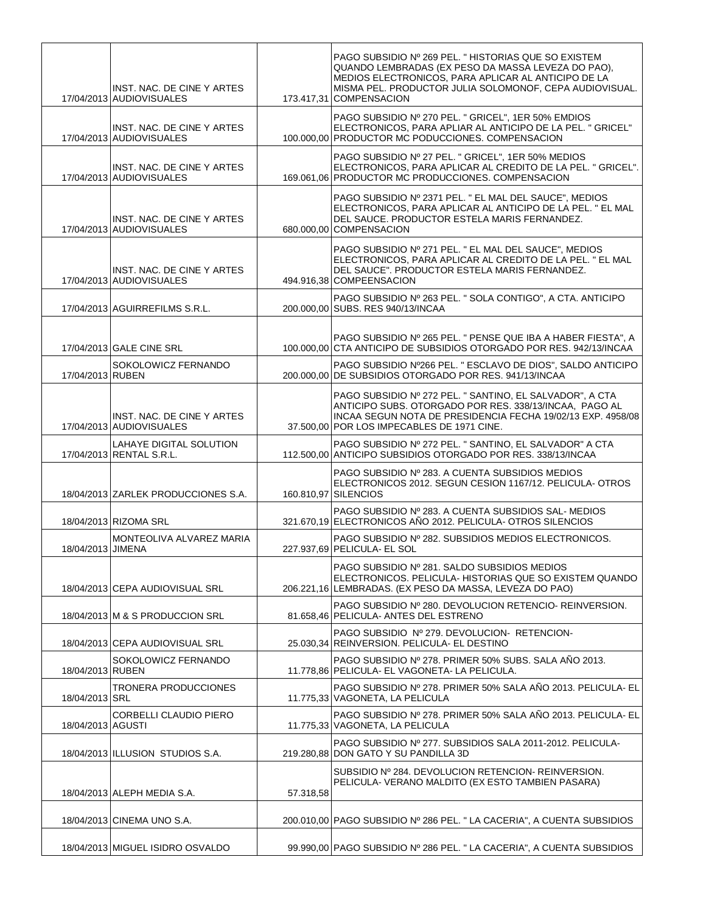|                   | INST. NAC. DE CINE Y ARTES<br>17/04/2013 AUDIOVISUALES |           | PAGO SUBSIDIO Nº 269 PEL. "HISTORIAS QUE SO EXISTEM<br>QUANDO LEMBRADAS (EX PESO DA MASSA LEVEZA DO PAO),<br>MEDIOS ELECTRONICOS, PARA APLICAR AL ANTICIPO DE LA<br>MISMA PEL. PRODUCTOR JULIA SOLOMONOF. CEPA AUDIOVISUAL.<br>173.417,31 COMPENSACION |
|-------------------|--------------------------------------------------------|-----------|--------------------------------------------------------------------------------------------------------------------------------------------------------------------------------------------------------------------------------------------------------|
|                   | INST. NAC. DE CINE Y ARTES<br>17/04/2013 AUDIOVISUALES |           | PAGO SUBSIDIO Nº 270 PEL. " GRICEL", 1ER 50% EMDIOS<br>ELECTRONICOS, PARA APLIAR AL ANTICIPO DE LA PEL. "GRICEL"<br>100.000,00 PRODUCTOR MC PODUCCIONES. COMPENSACION                                                                                  |
|                   | INST. NAC. DE CINE Y ARTES<br>17/04/2013 AUDIOVISUALES |           | PAGO SUBSIDIO Nº 27 PEL. " GRICEL", 1ER 50% MEDIOS<br>ELECTRONICOS, PARA APLICAR AL CREDITO DE LA PEL. "GRICEL".<br>169.061.06 PRODUCTOR MC PRODUCCIONES. COMPENSACION                                                                                 |
|                   | INST. NAC. DE CINE Y ARTES<br>17/04/2013 AUDIOVISUALES |           | PAGO SUBSIDIO Nº 2371 PEL. " EL MAL DEL SAUCE", MEDIOS<br>ELECTRONICOS, PARA APLICAR AL ANTICIPO DE LA PEL. " EL MAL<br>DEL SAUCE. PRODUCTOR ESTELA MARIS FERNANDEZ.<br>680.000,00 COMPENSACION                                                        |
|                   | INST. NAC. DE CINE Y ARTES<br>17/04/2013 AUDIOVISUALES |           | PAGO SUBSIDIO Nº 271 PEL. " EL MAL DEL SAUCE", MEDIOS<br>ELECTRONICOS, PARA APLICAR AL CREDITO DE LA PEL. " EL MAL<br>DEL SAUCE". PRODUCTOR ESTELA MARIS FERNANDEZ.<br>494.916,38 COMPEENSACION                                                        |
|                   | 17/04/2013 AGUIRREFILMS S.R.L.                         |           | PAGO SUBSIDIO Nº 263 PEL. " SOLA CONTIGO", A CTA. ANTICIPO<br>200.000,00 SUBS. RES 940/13/INCAA                                                                                                                                                        |
|                   | 17/04/2013 GALE CINE SRL                               |           | PAGO SUBSIDIO Nº 265 PEL. " PENSE QUE IBA A HABER FIESTA", A<br>100.000.00 CTA ANTICIPO DE SUBSIDIOS OTORGADO POR RES. 942/13/INCAA                                                                                                                    |
| 17/04/2013 RUBEN  | SOKOLOWICZ FERNANDO                                    |           | PAGO SUBSIDIO Nº266 PEL. " ESCLAVO DE DIOS", SALDO ANTICIPO<br>200.000.00 DE SUBSIDIOS OTORGADO POR RES. 941/13/INCAA                                                                                                                                  |
|                   | INST. NAC. DE CINE Y ARTES<br>17/04/2013 AUDIOVISUALES |           | PAGO SUBSIDIO Nº 272 PEL. " SANTINO, EL SALVADOR", A CTA<br>ANTICIPO SUBS. OTORGADO POR RES. 338/13/INCAA, PAGO AL<br>INCAA SEGUN NOTA DE PRESIDENCIA FECHA 19/02/13 EXP. 4958/08<br>37.500,00 POR LOS IMPECABLES DE 1971 CINE.                        |
|                   | LAHAYE DIGITAL SOLUTION<br>17/04/2013 RENTAL S.R.L.    |           | PAGO SUBSIDIO Nº 272 PEL. " SANTINO, EL SALVADOR" A CTA<br>112.500,00 ANTICIPO SUBSIDIOS OTORGADO POR RES. 338/13/INCAA                                                                                                                                |
|                   | 18/04/2013 ZARLEK PRODUCCIONES S.A.                    |           | PAGO SUBSIDIO Nº 283. A CUENTA SUBSIDIOS MEDIOS<br>ELECTRONICOS 2012. SEGUN CESION 1167/12. PELICULA- OTROS<br>160.810,97 SILENCIOS                                                                                                                    |
|                   | 18/04/2013 RIZOMA SRL                                  |           | PAGO SUBSIDIO Nº 283. A CUENTA SUBSIDIOS SAL-MEDIOS<br>321.670,19 ELECTRONICOS AÑO 2012. PELICULA- OTROS SILENCIOS                                                                                                                                     |
| 18/04/2013 JIMENA | MONTEOLIVA ALVAREZ MARIA                               |           | PAGO SUBSIDIO Nº 282. SUBSIDIOS MEDIOS ELECTRONICOS.<br>227.937,69 PELICULA- EL SOL                                                                                                                                                                    |
|                   | 18/04/2013 CEPA AUDIOVISUAL SRL                        |           | PAGO SUBSIDIO Nº 281. SALDO SUBSIDIOS MEDIOS<br>ELECTRONICOS. PELICULA- HISTORIAS QUE SO EXISTEM QUANDO<br>206.221,16 LEMBRADAS. (EX PESO DA MASSA, LEVEZA DO PAO)                                                                                     |
|                   | 18/04/2013 M & S PRODUCCION SRL                        |           | PAGO SUBSIDIO Nº 280. DEVOLUCION RETENCIO- REINVERSION.<br>81.658,46 PELICULA- ANTES DEL ESTRENO                                                                                                                                                       |
|                   | 18/04/2013 CEPA AUDIOVISUAL SRL                        |           | PAGO SUBSIDIO Nº 279. DEVOLUCION-RETENCION-<br>25.030,34 REINVERSION. PELICULA- EL DESTINO                                                                                                                                                             |
| 18/04/2013 RUBEN  | SOKOLOWICZ FERNANDO                                    |           | PAGO SUBSIDIO Nº 278. PRIMER 50% SUBS. SALA AÑO 2013.<br>11.778.86 PELICULA- EL VAGONETA- LA PELICULA.                                                                                                                                                 |
| 18/04/2013 SRL    | <b>TRONERA PRODUCCIONES</b>                            |           | PAGO SUBSIDIO Nº 278. PRIMER 50% SALA AÑO 2013. PELICULA- EL<br>11.775,33 VAGONETA, LA PELICULA                                                                                                                                                        |
| 18/04/2013 AGUSTI | CORBELLI CLAUDIO PIERO                                 |           | PAGO SUBSIDIO Nº 278. PRIMER 50% SALA AÑO 2013. PELICULA- EL<br>11.775,33 VAGONETA, LA PELICULA                                                                                                                                                        |
|                   | 18/04/2013 ILLUSION STUDIOS S.A.                       |           | PAGO SUBSIDIO Nº 277. SUBSIDIOS SALA 2011-2012. PELICULA-<br>219.280,88 DON GATO Y SU PANDILLA 3D                                                                                                                                                      |
|                   | 18/04/2013 ALEPH MEDIA S.A.                            | 57.318,58 | SUBSIDIO Nº 284. DEVOLUCION RETENCION- REINVERSION.<br>PELICULA- VERANO MALDITO (EX ESTO TAMBIEN PASARA)                                                                                                                                               |
|                   | 18/04/2013 CINEMA UNO S.A.                             |           | 200.010,00 PAGO SUBSIDIO Nº 286 PEL. " LA CACERIA", A CUENTA SUBSIDIOS                                                                                                                                                                                 |
|                   | 18/04/2013 MIGUEL ISIDRO OSVALDO                       |           | 99.990,00 PAGO SUBSIDIO Nº 286 PEL. " LA CACERIA", A CUENTA SUBSIDIOS                                                                                                                                                                                  |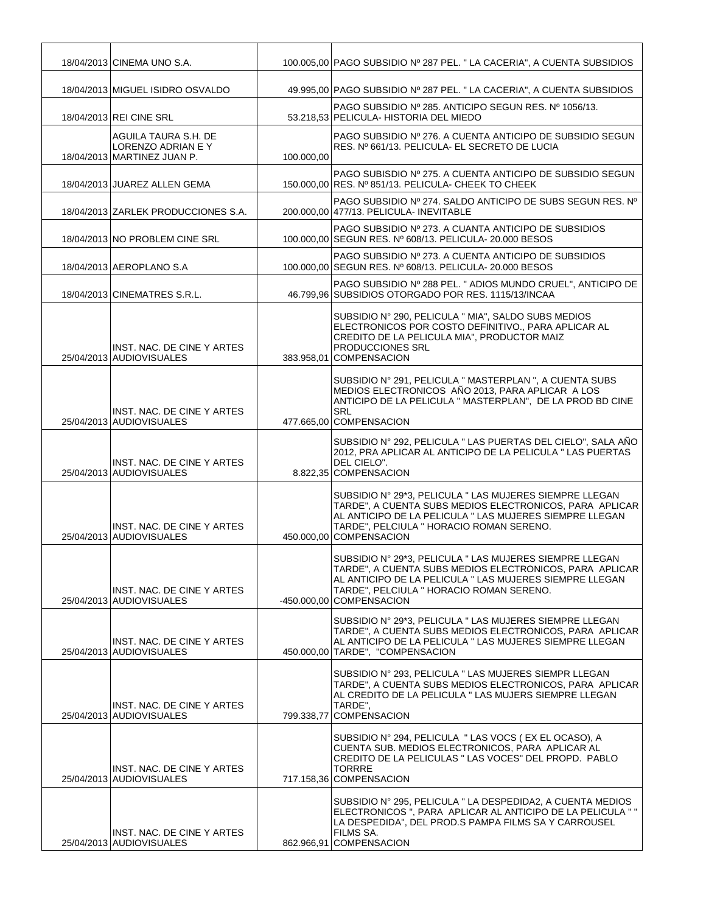| 18/04/2013 CINEMA UNO S.A.                                                |            | 100.005,00 PAGO SUBSIDIO Nº 287 PEL. " LA CACERIA", A CUENTA SUBSIDIOS                                                                                                                                                                                |
|---------------------------------------------------------------------------|------------|-------------------------------------------------------------------------------------------------------------------------------------------------------------------------------------------------------------------------------------------------------|
| 18/04/2013 MIGUEL ISIDRO OSVALDO                                          |            | 49.995,00 PAGO SUBSIDIO Nº 287 PEL. " LA CACERIA", A CUENTA SUBSIDIOS                                                                                                                                                                                 |
| 18/04/2013 REI CINE SRL                                                   |            | PAGO SUBSIDIO Nº 285. ANTICIPO SEGUN RES. Nº 1056/13.<br>53.218,53 PELICULA- HISTORIA DEL MIEDO                                                                                                                                                       |
| AGUILA TAURA S.H. DE<br>LORENZO ADRIAN E Y<br>18/04/2013 MARTINEZ JUAN P. | 100.000,00 | PAGO SUBSIDIO Nº 276. A CUENTA ANTICIPO DE SUBSIDIO SEGUN<br>RES. Nº 661/13. PELICULA- EL SECRETO DE LUCIA                                                                                                                                            |
| 18/04/2013 JUAREZ ALLEN GEMA                                              |            | PAGO SUBISDIO Nº 275. A CUENTA ANTICIPO DE SUBSIDIO SEGUN<br>150.000,00 RES. Nº 851/13. PELICULA- CHEEK TO CHEEK                                                                                                                                      |
| 18/04/2013 ZARLEK PRODUCCIONES S.A.                                       |            | PAGO SUBSIDIO Nº 274. SALDO ANTICIPO DE SUBS SEGUN RES. Nº<br>200.000,00 477/13. PELICULA- INEVITABLE                                                                                                                                                 |
| 18/04/2013 NO PROBLEM CINE SRL                                            |            | PAGO SUBSIDIO Nº 273. A CUANTA ANTICIPO DE SUBSIDIOS<br>100.000,00 SEGUN RES. Nº 608/13. PELICULA- 20.000 BESOS                                                                                                                                       |
| 18/04/2013 AEROPLANO S.A                                                  |            | PAGO SUBSIDIO Nº 273. A CUENTA ANTICIPO DE SUBSIDIOS<br>100.000,00 SEGUN RES. Nº 608/13. PELICULA-20.000 BESOS                                                                                                                                        |
| 18/04/2013 CINEMATRES S.R.L.                                              |            | PAGO SUBSIDIO Nº 288 PEL. " ADIOS MUNDO CRUEL", ANTICIPO DE<br>46.799.96 SUBSIDIOS OTORGADO POR RES. 1115/13/INCAA                                                                                                                                    |
| INST. NAC. DE CINE Y ARTES<br>25/04/2013 AUDIOVISUALES                    |            | SUBSIDIO N° 290, PELICULA " MIA", SALDO SUBS MEDIOS<br>ELECTRONICOS POR COSTO DEFINITIVO., PARA APLICAR AL<br>CREDITO DE LA PELICULA MIA", PRODUCTOR MAIZ<br><b>PRODUCCIONES SRL</b><br>383.958,01 COMPENSACION                                       |
| INST. NAC. DE CINE Y ARTES<br>25/04/2013 AUDIOVISUALES                    |            | SUBSIDIO Nº 291, PELICULA " MASTERPLAN ", A CUENTA SUBS<br>MEDIOS ELECTRONICOS AÑO 2013, PARA APLICAR A LOS<br>ANTICIPO DE LA PELICULA " MASTERPLAN", DE LA PROD BD CINE<br><b>SRL</b><br>477.665,00 COMPENSACION                                     |
| INST. NAC. DE CINE Y ARTES<br>25/04/2013 AUDIOVISUALES                    |            | SUBSIDIO Nº 292, PELICULA " LAS PUERTAS DEL CIELO", SALA AÑO<br>2012, PRA APLICAR AL ANTICIPO DE LA PELICULA " LAS PUERTAS<br>DEL CIELO".<br>8.822,35 COMPENSACION                                                                                    |
| INST. NAC. DE CINE Y ARTES<br>25/04/2013 AUDIOVISUALES                    |            | SUBSIDIO N° 29*3, PELICULA " LAS MUJERES SIEMPRE LLEGAN<br>TARDE". A CUENTA SUBS MEDIOS ELECTRONICOS, PARA APLICAR<br>AL ANTICIPO DE LA PELICULA " LAS MUJERES SIEMPRE LLEGAN<br>TARDE", PELCIULA " HORACIO ROMAN SERENO.<br>450.000,00 COMPENSACION  |
| INST. NAC. DE CINE Y ARTES<br>25/04/2013 AUDIOVISUALES                    |            | SUBSIDIO Nº 29*3, PELICULA " LAS MUJERES SIEMPRE LLEGAN<br>TARDE", A CUENTA SUBS MEDIOS ELECTRONICOS, PARA APLICAR<br>AL ANTICIPO DE LA PELICULA " LAS MUJERES SIEMPRE LLEGAN<br>TARDE", PELCIULA " HORACIO ROMAN SERENO.<br>-450.000.00 COMPENSACION |
| INST. NAC. DE CINE Y ARTES<br>25/04/2013 AUDIOVISUALES                    |            | SUBSIDIO Nº 29*3, PELICULA " LAS MUJERES SIEMPRE LLEGAN<br>TARDE", A CUENTA SUBS MEDIOS ELECTRONICOS, PARA APLICAR<br>AL ANTICIPO DE LA PELICULA " LAS MUJERES SIEMPRE LLEGAN<br>450.000,00 TARDE", "COMPENSACION                                     |
| INST. NAC. DE CINE Y ARTES<br>25/04/2013 AUDIOVISUALES                    |            | SUBSIDIO Nº 293, PELICULA " LAS MUJERES SIEMPR LLEGAN<br>TARDE", A CUENTA SUBS MEDIOS ELECTRONICOS, PARA APLICAR<br>AL CREDITO DE LA PELICULA " LAS MUJERS SIEMPRE LLEGAN<br>TARDE",<br>799.338,77 COMPENSACION                                       |
| INST. NAC. DE CINE Y ARTES<br>25/04/2013 AUDIOVISUALES                    |            | SUBSIDIO N° 294, PELICULA " LAS VOCS ( EX EL OCASO), A<br>CUENTA SUB. MEDIOS ELECTRONICOS, PARA APLICAR AL<br>CREDITO DE LA PELICULAS "LAS VOCES" DEL PROPD. PABLO<br><b>TORRRE</b><br>717.158,36 COMPENSACION                                        |
| INST. NAC. DE CINE Y ARTES<br>25/04/2013 AUDIOVISUALES                    |            | SUBSIDIO Nº 295, PELICULA " LA DESPEDIDA2, A CUENTA MEDIOS<br>ELECTRONICOS ", PARA APLICAR AL ANTICIPO DE LA PELICULA " "<br>LA DESPEDIDA", DEL PROD. SPAMPA FILMS SA Y CARROUSEL<br>FILMS SA.<br>862.966,91 COMPENSACION                             |